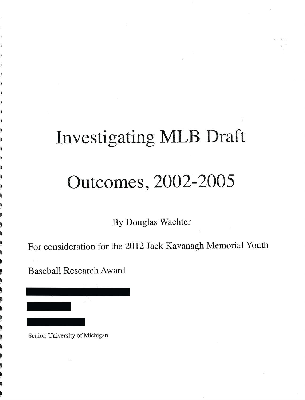# Investigating MLB Draft Outcomes, 2002-2005

By Douglas Wachter

For consideration for the 2012 Jack Kavanagh Memorial Youth

Baseball Research Award

~ ~

• ~ ~ **•** 

~ • •<br>•<br>•

~ ~ ~ • •<br>•<br>• •

- ~  $\pi^-$ ~

- •

,

• • • •<br>•<br>• ,<br>,<br>,<br>,

Senior, University of Michigan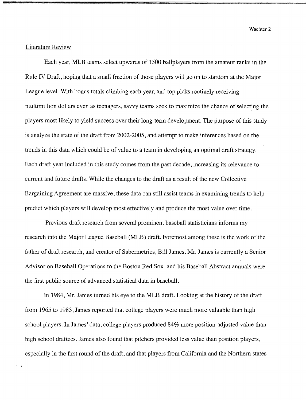== ...... =~

## Literature Review

Each year, MLB teams select upwards of 1500 ballplayers from the amateur ranks in the Rule IV Draft, hoping that a small fraction of those players will go on to stardom at the Major League level. With bonus totals climbing each year, and top picks routinely receiving multimillion dollars even as teenagers, savvy teams seek to maximize the chance of selecting the players most likely to yield success over their long-term development. The purpose of this study is analyze the state of the draft from 2002-2005, and attempt to make inferences based on the trends in this data which could be of value to a team in developing an optimal draft strategy. Each draft year included in this study comes from the past decade, increasing its relevance to current and future drafts. While the changes to the draft as a result of the new Collective Bargaining Agreement are massive, these data can still assist teams in examining trends to help predict which players will develop most effectively and produce the most value over time.

Previous draft research from several prominent baseball statisticians informs my research into the Major League Baseball (MLB) draft. Foremost among these is the work of the father of draft research, and creator of Sabermetrics, Bill James. Mr. James is currently a Senior Advisor on Baseball Operations to the Boston Red Sox, and his Baseball Abstract annuals were the first public source of advanced statistical data in baseball.

In 1984, Mr. James turned his eye to the MLB draft. Looking at the history of the draft from 1965 to 1983, James reported that college players were much more valuable than high school players. In James' data, college players produced 84% more position-adjusted value than high school draftees. James also found that pitchers provided less value than position players, especially in the first round of the draft, and that players from California and the Northern states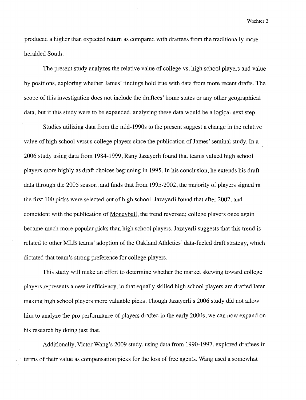produced a higher than expected return as compared with draftees from the traditionally moreheralded South.

The present study analyzes the relative value of college vs. high school players and value by positions, exploring whether James' findings hold true with data from more recent drafts. The scope of this investigation does not include the draftees' home states or any other geographical data, but if this study were to be expanded, analyzing these data would be a logical next step.

Studies utilizing data from the mid-1990s to the present suggest a change in the relative value of high school versus college players since the publication of James' seminal study. **In** a 2006 study using data from 1984-1999, Rany Jazayerli found that teams valued high school players more highly as draft choices beginning in 1995. **In** his conclusion, he extends his draft data through the 2005 season, and finds that from 1995-2002, the majority of players signed in the first 100 picks were selected out of high school. Jazayerli found that after 2002, and coincident with the publication of Moneyball, the trend reversed; college players once again became much more popular picks than high school players. Jazayerli suggests that this trend is related to other MLB teams' adoption of the Oakland Athletics' data-fueled draft strategy, which dictated that team's strong preference for college players.

This study will make an effort to determine whether the market skewing toward college players represents a new inefficiency, in that equally skilled high school players are drafted later, making high school players more valuable picks. Though Jazayerli's 2006 study did not allow him to analyze the pro performance of players drafted in the early 2000s, we can now expand on his research by doing just that.

Additionally, Victor Wang's 2009 study, using data from 1990-1997, explored draftees in . terms of their value as compensation picks for the loss of free agents. Wang used a somewhat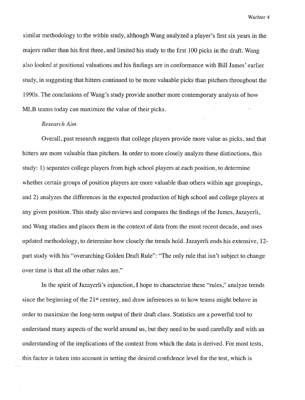similar methodology to the within study, although Wang analyzed a player's first six years in the majors rather than his first three, and limited his study to the first 100 picks in the draft. Wang also looked at positional valuations and his findings are in conformance with Bill James' earlier study, in suggesting that hitters continued to be more valuable picks than pitchers throughout the 1990s. The conclusions of Wang's study provide another more contemporary analysis of how MLB teams today can maximize the value of their picks.

#### *Research Aim*

Overall, past research suggests that college players provide more value as picks, and that hitters are more valuable than pitchers. **In** order to more closely analyze these distinctions, this study: 1) separates college players from high school players at each position, to determine whether certain groups of position players are more valuable than others within age groupings, and 2) analyzes the differences in the expected production of high school and college players at any given position. This study also reviews and compares the findings of the James, Jazayerli, and Wang studies and places them in the context of data from the most recent decade, and uses updated methodology, to determine how closely the trends hold. Jazayerli ends his extensive, 12 part study with his "overarching Golden Draft Rule": "The only rule that isn't subject to change over time is that all the other rules are."

**In** the spirit of Jazayerli's injunction, I hope to characterize these "rules," analyze trends since the beginning of the  $21<sup>st</sup>$  century, and draw inferences as to how teams might behave in order to maximize the long-term output of their draft class. Statistics are a powerful tool to understand many aspects of the world around us, but they need to be used carefully and with an understanding of the implications of the context from which the data is derived. For most tests, . this factor is taken into account in setting the desired confidence level for the test, which is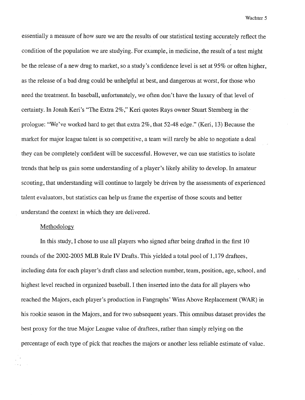essentially a measure of how sure we are the results of our statistical testing accurately reflect the condition of the population we are studying. For example, in medicine, the result of a test might be the release of a new drug to market, so a study's confidence level is set at 95% or often higher, as the release of a bad drug could be unhelpful at best, and dangerous at worst, for those who need the treatment. In baseball, unfortunately, we often don't have the luxury of that level of certainty. In Jonah Keri's "The Extra 2%," Keri quotes Rays owner Stuart Sternberg in the prologue: "We've worked hard to get that extra 2%, that 52-48 edge." (Keri, 13) Because the market for major league talent is so competitive, a team will rarely be able to negotiate a deal they can be completely confident will be successful. However, we can use statistics to isolate trends that help us gain some understanding of a player's likely ability to develop. In amateur scouting, that understanding will continue to largely be driven by the assessments of experienced talent evaluators, but statistics can help us frame the expertise of those scouts and better understand the context in which they are delivered.

#### Methodology

In this study, I chose to use all players who signed after being drafted in the first 10 rounds of the 2002-2005 MLB Rule IV Drafts. This yielded a total pool of 1,179 draftees, including data for each player's draft class and selection number, team, position, age, school, and highest level reached in organized baseball. I then inserted into the data for all players who reached the Majors, each player's production in Fangraphs' Wins Above Replacement (WAR) in his rookie season in the Majors, and for two subsequent years. This omnibus dataset provides the best proxy for the true Major League value of draftees, rather than simply relying on the percentage of each type of pick that reaches the majors or another less reliable estimate of value.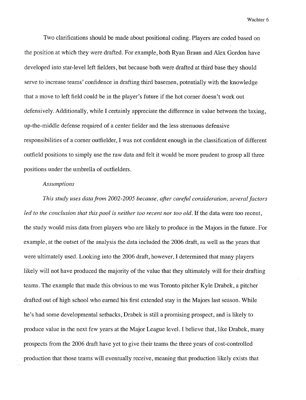Two clarifications should be made about positional coding. Players are coded based on the position at which they were drafted. For example, both Ryan Braun and Alex Gordon have developed into star-level left fielders, but because both were drafted at third base they should serve to increase teams' confidence in drafting third basemen, potentially with the knowledge that a move to left field could be in the player's future if the hot comer doesn't work out defensively. Additionally, while I certainly appreciate the difference in value between the taxing, up-the-middle defense required of a center fielder and the less strenuous defensive responsibilities of a comer outfielder, I was not confident enough in the classification of different outfield positions to simply use the raw data and felt it would be more prudent to group all three positions under the umbrella of outfielders.

#### *Assumptions*

*This study uses datafrom* 2002-2005 *because, after careful consideration, several factors*  led to the conclusion that this pool is neither too recent nor too old. If the data were too recent, the study would miss data from players who are likely to produce in the Majors in the future. For example, at the outset of the analysis the data included the 2006 draft, as well as the years that were ultimately used. Looking into the 2006 draft, however, I determined that many players likely will not have produced the majority of the value that they ultimately will for their drafting teams. The example that made this obvious to me was Toronto pitcher Kyle Drabek, a pitcher drafted out of high school who earned his first extended stay in the Majors last season. While he's had some developmental setbacks, Drabek is still a promising prospect, and is likely to produce value in the next few years at the Major League level. I believe that, like Drabek, many prospects from the 2006 draft have yet to give their teams the three years of cost-controlled . production that those teams will eventually receive, meaning that production likely exists that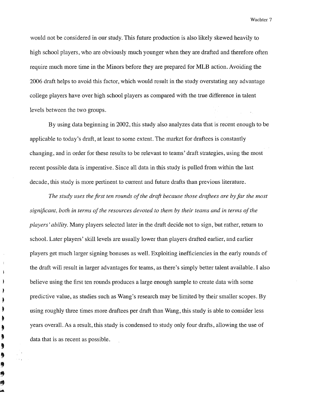would not be considered in our study. This future production is also likely skewed heavily to high school players, who are obviously much younger when they are drafted and therefore often require much more time in the Minors before they are prepared for MLB action. Avoiding the 2006 draft helps to avoid this factor, which would result in the study overstating any advantage college players have over high school players as compared with the true difference in talent levels between the two groups.

By using data beginning in 2002, this study also analyzes data that is recent enough to be applicable to today's draft, at least to some extent. The market for draftees is constantly changing, and in order for these results to be relevant to teams' draft strategies, using the most recent possible data is imperative. Since all data in this study is pulled from within the last decade, this study is more pertinent to current and future drafts than previous literature.

*The study uses the first ten rounds of the draft because those draftees are by far the most significant, both in terms of the resources devoted to them by their teams and in terms of the players' ability.* Many players selected later in the draft decide not to sign, but rather, return to school. Later players' skill levels are usually lower than players drafted earlier, and earlier players get much larger signing bonuses as well. Exploiting inefficiencies in the early rounds of the draft will result in larger advantages for teams, as there's simply better talent available. I also believe using the first ten rounds produces a large enough sample to create data with some predictive value, as studies such as Wang's research may be limited by their smaller scopes. By using roughly three times more draftees per draft than Wang, this study is able to consider less years overall. As a result, this study is condensed to study only four drafts, allowing the use of data that is as recent as possible.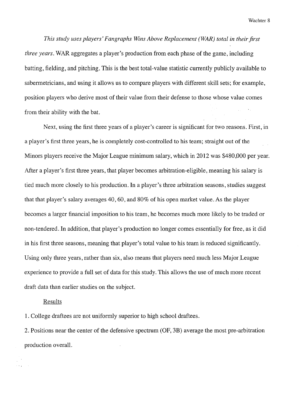*This study uses players' Fangraphs Wins Above Replacement (WAR) total in their first three years.* WAR aggregates a player's production from each phase of the game, including batting, fielding, and pitching. This is the best total-value statistic currently publicly available to sabermetricians, and using it allows us to compare players with different skill sets; for example, position players who derive most of their value from their defense to those whose value comes from their ability with the bat.

Next, using the first three years of a player's career is significant for two reasons. First, in a player's first three years, he is completely cost-controlled to his team; straight out of the Minors players receive the Major League minimum salary, which in 2012 was \$480,000 per year. After a player's first three years, that player becomes arbitration-eligible, meaning his salary is tied much more closely to his production. In a player's three arbitration seasons, studies suggest that that player's salary averages 40, 60, and 80% of his open market value. As the player becomes a larger financial imposition to his team, he becomes much more likely to be traded or non-tendered. In addition, that player's production no longer comes essentially for free, as it did in his first three seasons, meaning that player's total value to his team is reduced significantly. Using only three years, rather than six, also means that players need much less Major League experience to provide a full set of data for this study. This allows the use of much more recent draft data than earlier studies on the subject.

## Results

1. College draftees are not uniformly superior to high school draftees.

2. Positions near the center of the defensive spectrum (OF, 3B) average the most pre-arbitration production overall.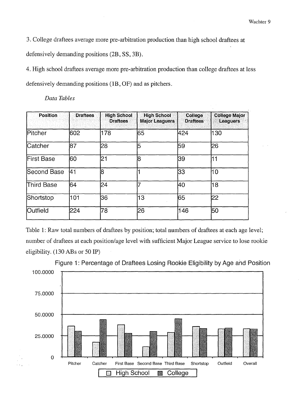3. College draftees average more pre-arbitration production than high school draftees at defensively demanding positions (2B, SS, 3B).

4. High school draftees average more pre-arbitration production than college draftees at less defensively demanding positions (1B, OF) and as pitchers.

| <b>Position</b> | <b>Draftees</b> | <b>High School</b><br><b>Draftees</b> | <b>High School</b><br><b>Major Leaguers</b> | College<br><b>Draftees</b> | <b>College Major</b><br><b>Leaguers</b> |
|-----------------|-----------------|---------------------------------------|---------------------------------------------|----------------------------|-----------------------------------------|
| Pitcher         | 602             | 178                                   | 65                                          | 424                        | 130                                     |
| Catcher         | 87              | 28                                    | 5                                           | 59                         | 26                                      |
| First Base      | 60              | 21                                    | R                                           | 39                         | 11                                      |
| Second Base     | 141             | l8                                    |                                             | 133                        | 10                                      |
| Third Base      | 64              | 24                                    |                                             | 40                         | 18                                      |
| Shortstop       | 101             | 36                                    | 13                                          | 65                         | 22                                      |
| Outfield        | 224             | 78                                    | 26                                          | 146                        | 150                                     |

*Data Tables* 

Table 1: Raw total numbers of draftees by position; total numbers of draftees at each age level; number of draftees at each position/age level with sufficient Major League service to lose rookie eligibility. (130 ABs or 50 IP)



Figure 1: Percentage of Draftees Losing Rookie Eligibility by Age and Position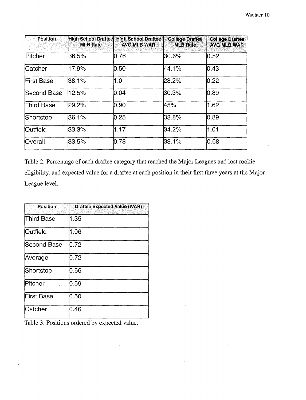| <b>Position</b>   | High School Draftee<br><b>MLB Rate</b> | <b>High School Draftee</b><br><b>AVG MLB WAR</b> | <b>College Draftee</b><br><b>MLB Rate</b> | <b>College Draftee</b><br><b>AVG MLB WAR</b> |
|-------------------|----------------------------------------|--------------------------------------------------|-------------------------------------------|----------------------------------------------|
| Pitcher           | 36.5%                                  | 0.76                                             | l30.6%                                    | 0.52                                         |
| Catcher           | 17.9%                                  | 10.50                                            | 44.1%                                     | 10.43                                        |
| <b>First Base</b> | 38.1%                                  | 1.0                                              | l28.2%                                    | 0.22                                         |
| Second Base       | 12.5%                                  | l0.04                                            | 130.3%                                    | 10.89                                        |
| Third Base        | 29.2%                                  | 10.90                                            | 45%                                       | 1.62                                         |
| Shortstop         | 36.1%                                  | 0.25                                             | 33.8%                                     | 0.89                                         |
| <b>Outfield</b>   | 33.3%                                  | 1.17                                             | 34.2%                                     | 1.01                                         |
| <b>Overall</b>    | 33.5%                                  | 0.78                                             | 33.1%                                     | 0.68                                         |

Table 2: Percentage of each draftee category that reached the Major Leagues and lost rookie eligibility, and expected value for a draftee at each position in their first three years at the Major League level.

| <b>Position</b> | <b>Draftee Expected Value (WAR)</b> |
|-----------------|-------------------------------------|
| Third Base      | 1.35                                |
| Outfield        | 1.06                                |
| Second Base     | 10.72                               |
| Average         | 0.72                                |
| Shortstop       | 0.66                                |
| lPitcher        | 0.59                                |
| First Base      | 0.50                                |
| lCatcher        | 0.46                                |

Table 3: Positions ordered by expected value.

 $\bar{z}$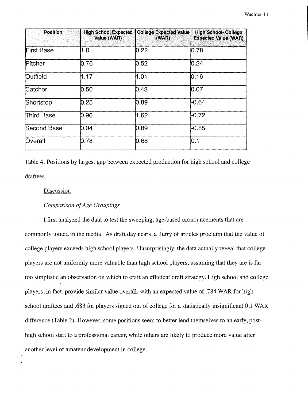| <b>Position</b>   | <b>High School Expected</b><br>Value (WAR) | <b>College Expected Value</b><br>(WAR) | <b>High School- College</b><br><b>Expected Value (WAR)</b> |
|-------------------|--------------------------------------------|----------------------------------------|------------------------------------------------------------|
| <b>First Base</b> | 1.0                                        | 0.22                                   | 0.78                                                       |
| Pitcher           | 0.76                                       | 0.52                                   | 0.24                                                       |
| Outfield          | 1.17                                       | 1.01                                   | 0.16                                                       |
| Catcher           | 0.50                                       | 0.43                                   | 0.07                                                       |
| Shortstop         | 0.25                                       | 0.89                                   | $-0.64$                                                    |
| Third Base        | 0.90                                       | 1.62                                   | $-0.72$                                                    |
| Second Base       | 0.04                                       | 0.89                                   | $-0.85$                                                    |
| Overall           | 0.78                                       | 0.68                                   | IO.1                                                       |

Table 4: Positions by largest gap between expected production for high school and college draftees.

#### Discussion

## *Comparison of Age Groupings*

I first analyzed the data to test the sweeping, age-based pronouncements that are commonly touted in the media. As draft day nears, a flurry of articles proclaim that the value of college players exceeds high school players. Unsurprisingly, the data actually reveal that college players are not uniformly more valuable than high school players; assuming that they are is far too simplistic an observation on which to craft an efficient draft strategy. High school and college players, in fact, provide similar value overall, with an expected value of .784 WAR for high school draftees and .683 for players signed out of college for a statistically insignificant 0.1 WAR difference (Table 2). However, some positions seem to better lend themselves to an early, posthigh school start to a professional career, while others are likely to produce more value after another level of amateur development in college.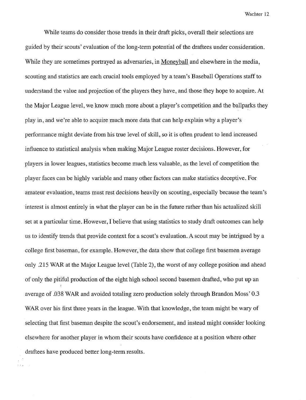While teams do consider those trends in their draft picks, overall their selections are guided by their scouts' evaluation of the long-term potential of the draftees under consideration. While they are sometimes portrayed as adversaries, in Moneyball and elsewhere in the media, scouting and statistics are each crucial tools employed by a team's Baseball Operations staff to understand the value and projection of the players they have, and those they hope to acquire. At the Major League level, we know much more about a player's competition and the ballparks they play in, and we're able to acquire much more data that can help explain why a player's performance might deviate from his true level of skill, so it is often prudent to lend increased influence to statistical analysis when making Major League roster decisions. However, for players in lower leagues, statistics become much less valuable, as the level of competition the player faces can be highly variable and many other factors can make statistics deceptive. For amateur evaluation, teams must rest decisions heavily on scouting, especially because the team's interest is almost entirely in what the player can be in the future rather than his actualized skill set at a particular time. However, I believe that using statistics to study draft outcomes can help us to identify trends that provide context for a scout's evaluation. A scout may be intrigued by a college first baseman, for example. However, the data show that college first basemen average only .215 WAR at the Major League level (Table 2), the worst of any college position and ahead of only the pitiful production of the eight high school second basemen drafted, who put up an average of .038 WAR and avoided totaling zero production solely through Brandon Moss' 0.3 WAR over his first three years in the league. With that knowledge, the team might be wary of selecting that first baseman despite the scout's endorsement, and instead might consider looking elsewhere for another player in whom their scouts have confidence at a position where other draftees have produced better long-term results.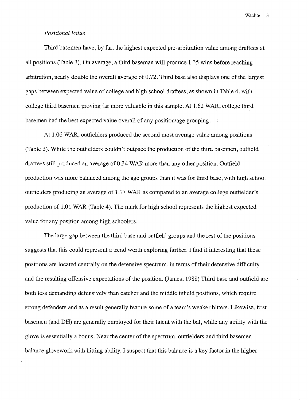## *Positional Value*

Third basemen have, by far, the highest expected pre-arbitration value among draftees at all positions (Table 3). On average, a third baseman will produce 1.35 wins before reaching arbitration, nearly double the overall average of 0.72. Third base also displays one of the largest gaps between expected value of college and high school draftees, as shown in Table 4, with college third basemen proving far more valuable in this sample. At 1.62 WAR, college third basemen had the best expected value overall of any position/age grouping.

At 1.06 WAR, outfielders produced the second most average value among positions (Table 3). While the outfielders couldn't outpace the production of the third basemen, outfield draftees still produced an average of 0 .34 WAR more than any other position. Outfield production was more balanced among the age groups than it was for third base, with high school outfielders producing an average of 1.17 WAR as compared to an average college outfielder's production of 1.0 1 WAR (Table 4). The mark for high school represents the highest expected value for any position among high schoolers.

The large gap between the third base and outfield groups and the rest of the positions suggests that this could represent a trend worth exploring further. I find it interesting that these positions are located centrally on the defensive spectrum, in terms of their defensive difficulty and the resulting offensive expectations of the position. (James, 1988) Third base and outfield are both less demanding defensively than catcher and the middle infield positions, which require strong defenders and as a result generally feature some of a team's weaker hitters. Likewise, first basemen (and DR) are generally employed for their talent with the bat, while any ability with the glove is essentially a bonus. Near the center of the spectrum, outfielders and third basemen balance glovework with hitting ability. I suspect that this balance is a key factor in the higher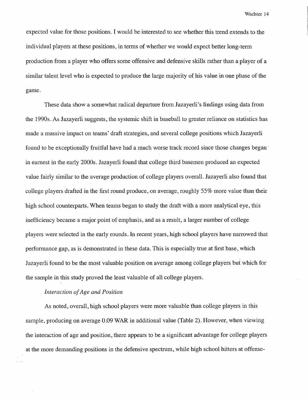expected value for those positions. I would be interested to see whether this trend extends to the individual players at these positions, in terms of whether we would expect better long-term production from a player who offers some offensive and defensive skills rather than a player of a similar talent level who is expected to produce the large majority of his value in one phase of the game.

These data show a somewhat radical departure from Jazayerli's findings using data from the 1990s. As Jazayerli suggests, the systemic shift in baseball to greater reliance on statistics has made a massive impact on teams' draft strategies, and several college positions which Jazayerli found to be exceptionally fruitful have had a much worse track record since those changes began· in earnest in the early 2000s. Jazayerli found that college third basemen produced an expected value fairly similar to the average production of college players overall. Jazayerli also found that college players drafted in the first round produce, on average, roughly 55% more value than their high school counterparts. When teams began to study the draft with a more analytical eye, this inefficiency became a major point of emphasis, and as a result, a larger number of college players were selected in the early rounds. In recent years, high school players have narrowed that performance gap, as is demonstrated in these data. This is especially true at first base, which Jazayerli found to be the most valuable position on average among college players but which for the sample in this study proved the least valuable of all college players.

## *Interaction of Age and Position*

As noted, overall, high school players were more valuable than college players in this sample, producing on average 0.09 WAR in additional value (Table 2). However, when viewing the interaction of age and position, there appears to be a significant advantage for college players at the more demanding positions in the defensive spectrum, while high school hitters at offense-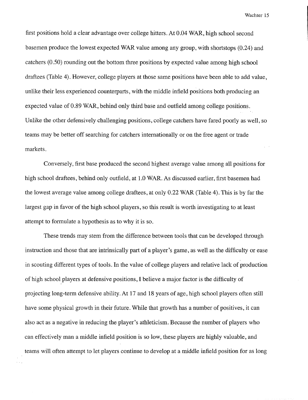first positions hold a clear advantage over college hitters. At 0.04 WAR, high school second basemen produce the lowest expected WAR value among any group, with shortstops (0.24) and catchers (0.50) rounding out the bottom three positions by expected value among high school draftees (Table 4). However, college players at those same positions have been able to add value, unlike their less experienced counterparts, with the middle infield positions both producing an expected value of 0.89 WAR, behind only third base and outfield among college positions. Unlike the other defensively challenging positions, college catchers have fared poorly as well, so teams may be better off searching for catchers internationally or on the free agent or trade markets.

Conversely, first base produced the second highest average value among all positions for high school draftees, behind only outfield, at 1.0 WAR. As discussed earlier, first basemen had the lowest average value among college draftees, at only 0.22 WAR (Table 4). This is by far the largest gap in favor of the high school players, so this result is worth investigating to at least attempt to formulate a hypothesis as to why it is so.

These trends may stem from the difference between tools that can be developed through instruction and those that are intrinsically part of a player's game, as well as the difficulty or ease in scouting different types of tools. **In** the value of college players and relative lack of production of high school players at defensive positions, I believe a major factor is the difficulty of projecting long-term defensive ability. At 17 and 18 years of age, high school players often still have some physical growth in their future. While that growth has a number of positives, it can also act as a negative in reducing the player's athleticism. Because the number of players who can effectively man a middle infield position is so low, these players are highly valuable, and teams will often attempt to let players continue to develop at a middle infield position for as long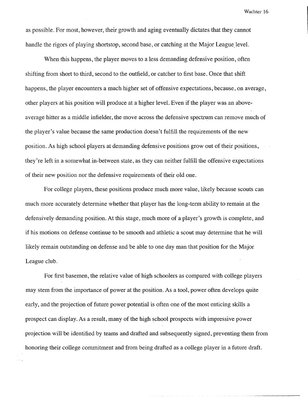as possible. For most, however, their growth and aging eventually dictates that they cannot handle the rigors of playing shortstop, second base, or catching at the Major League level.

When this happens, the player moves to a less demanding defensive position, often shifting from short to third, second to the outfield, or catcher to first base. Once that shift happens, the player encounters a much higher set of offensive expectations, because, on average, other players at his position will produce at a higher level. Even if the player was an aboveaverage hitter as a middle infielder, the move across the defensive spectrum can remove much of the player's value because the same production doesn't fulfill the requirements of the new position. As high school players at demanding defensive positions grow out of their positions, they're left in a somewhat in-between state, as they can neither fulfill the offensive expectations of their new position nor the defensive requirements of their old one.

For college players, these positions produce much more value, likely because scouts can much more accurately determine whether that player has the long-term ability to remain at the defensively demanding position. At this stage, much more of a player's growth is complete, and if his motions on defense continue to be smooth and athletic a scout may determine that he will likely remain outstanding on defense and be able to one day man that position for the Major League club.

For first basemen, the relative value of high schoolers as compared with college players may stem from the importance of power at the position. As a tool, power often develops quite early, and the projection of future power potential is often one of the most enticing skills a prospect can display. As a result, many of the high school prospects with impressive power projection will be identified by teams and drafted and subsequently signed, preventing them from honoring their college commitment and from being drafted as a college player in a future draft.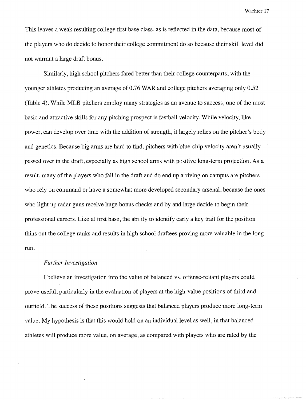This leaves a weak resulting college first base class, as is reflected in the data, because most of the players who do decide to honor their college commitment do so because their skill level did not warrant a large draft bonus.

Similarly, high school pitchers fared better than their college counterparts, with the younger athletes producing an average of 0.76 WAR and college pitchers averaging only 0.52 (Table 4). While MLB pitchers employ many strategies as an avenue to success, one of the most basic and attractive skills for any pitching prospect is fastball velocity. While velocity, like power, can develop over time with the addition of strength, it largely relies on the pitcher's body and genetics. Because big arms are hard to find, pitchers with blue-chip velocity aren't usually passed over in the draft, especially as high school arms with positive long-term projection. As a result, many of the players who fall in the draft and do end up arriving on campus are pitchers who rely on command or have a somewhat more developed secondary arsenal, because the ones who light up radar guns receive huge bonus checks and by and large decide to begin their professional careers. Like at first base, the ability to identify early a key trait for the position thins out the college ranks and results in high school draftees proving more valuable in the long run.

#### *Further Investigation*

I believe an investigation into the value of balanced vs. offense-reliant players could prove useful, particularly in the evaluation of players at the high-value positions of third and outfield. The success of these positions suggests that balanced players produce more long-term value. My hypothesis is that this would hold on an individual level as well, in that balanced athletes will produce more value, on average, as compared with players who are rated by the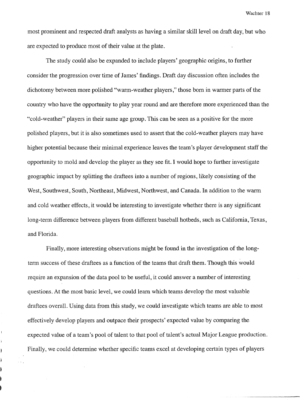most prominent and respected draft analysts as having a similar skill level on draft day, but who are expected to produce most of their value at the plate.

The study could also be expanded to include players' geographic origins, to further consider the progression over time of James' findings. Draft day discussion often includes the dichotomy between more polished "warm-weather players," those born in warmer parts of the country who have the opportunity to play year round and are therefore more experienced than the "cold-weather" players in their same age group. This can be seen as a positive for the more polished players, but it is also sometimes used to assert that the cold-weather players may have higher potential because their minimal experience leaves the team's player development staff the opportunity to mold and develop the player as they see fit. I would hope to further investigate geographic impact by splitting the draftees into a number of regions, likely consisting of the West, Southwest, South, Northeast, Midwest, Northwest, and Canada. In addition to the warm and cold weather effects, it would be interesting to investigate whether there is any significant long-term difference between players from different baseball hotbeds, such as California, Texas, and Florida.

Finally, more interesting observations might be found in the investigation of the longterm success of these draftees as a function of the teams that draft them. Though this would require an expansion of the data pool to be useful, it could answer a number of interesting questions. At the most basic level, we could learn which teams develop the most valuable draftees overall. Using data from this study, we could investigate which teams are able to most effectively develop players and outpace their prospects' expected value by comparing the expected value of a team's pool of talent to that pool of talent's actual Major League production. Finally, we could determine whether specific teams excel at developing certain types of players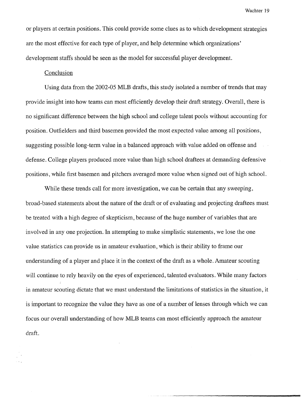or players at certain positions. This could provide some clues as to which development strategies are the most effective for each type of player, and help determine which organizations' development staffs should be seen as the model for successful player development.

# Conclusion

Using data from the 2002-05 MLB drafts, this study isolated a number of trends that may provide insight into how teams can most efficiently develop their draft strategy. Overall, there is no significant difference between the high school and college talent pools without accounting for position. Outfielders and third basemen provided the most expected value among all positions, suggesting possible long-term value in a balanced approach with value added on offense and defense. College players produced more value than high school draftees at demanding defensive positions, while first basemen and pitchers averaged more value when signed out of high school.

While these trends call for more investigation, we can be certain that any sweeping, broad-based statements about the nature of the draft or of evaluating and projecting draftees must be treated with a high degree of skepticism, because of the huge number of variables that are involved in any one projection. In attempting to make simplistic statements, we lose the one value statistics can provide us in amateur evaluation, which is their ability to frame our understanding of a player and place it in the context of the draft as a whole. Amateur scouting will continue to rely heavily on the eyes of experienced, talented evaluators. While many factors in amateur scouting dictate that we must understand the limitations of statistics in the situation, it is important to recognize the value they have as one of a number of lenses through which we can focus our overall understanding of how MLB teams can most efficiently approach the amateur draft.